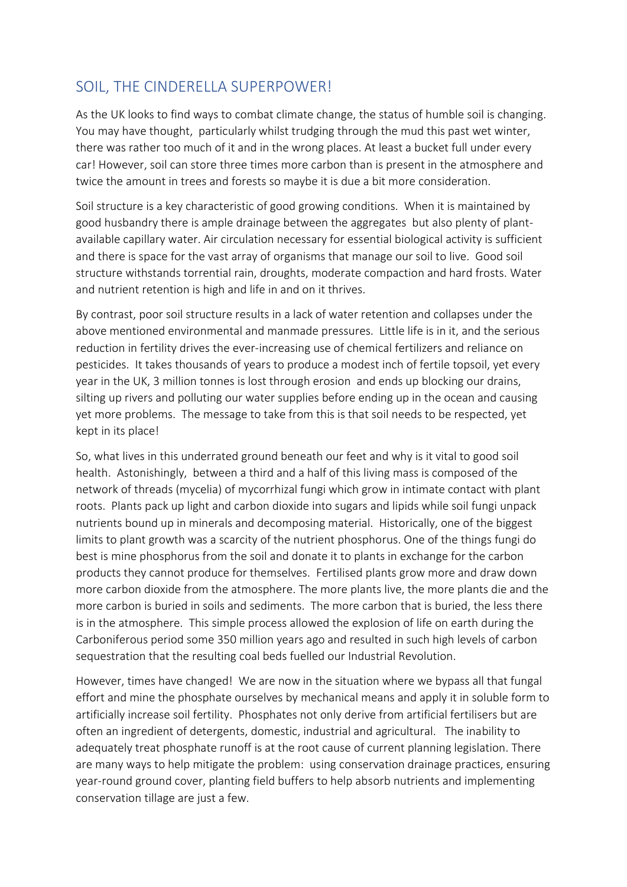## SOIL, THE CINDERELLA SUPERPOWER!

As the UK looks to find ways to combat climate change, the status of humble soil is changing. You may have thought, particularly whilst trudging through the mud this past wet winter, there was rather too much of it and in the wrong places. At least a bucket full under every car! However, soil can store three times more carbon than is present in the atmosphere and twice the amount in trees and forests so maybe it is due a bit more consideration.

Soil structure is a key characteristic of good growing conditions. When it is maintained by good husbandry there is ample drainage between the aggregates but also plenty of plantavailable capillary water. Air circulation necessary for essential biological activity is sufficient and there is space for the vast array of organisms that manage our soil to live. Good soil structure withstands torrential rain, droughts, moderate compaction and hard frosts. Water and nutrient retention is high and life in and on it thrives.

By contrast, poor soil structure results in a lack of water retention and collapses under the above mentioned environmental and manmade pressures. Little life is in it, and the serious reduction in fertility drives the ever-increasing use of chemical fertilizers and reliance on pesticides. It takes thousands of years to produce a modest inch of fertile topsoil, yet every year in the UK, 3 million tonnes is lost through erosion and ends up blocking our drains, silting up rivers and polluting our water supplies before ending up in the ocean and causing yet more problems. The message to take from this is that soil needs to be respected, yet kept in its place!

So, what lives in this underrated ground beneath our feet and why is it vital to good soil health. Astonishingly, between a third and a half of this living mass is composed of the network of threads (mycelia) of mycorrhizal fungi which grow in intimate contact with plant roots. Plants pack up light and carbon dioxide into sugars and lipids while soil fungi unpack nutrients bound up in minerals and decomposing material. Historically, one of the biggest limits to plant growth was a scarcity of the nutrient phosphorus. One of the things fungi do best is mine phosphorus from the soil and donate it to plants in exchange for the carbon products they cannot produce for themselves. Fertilised plants grow more and draw down more carbon dioxide from the atmosphere. The more plants live, the more plants die and the more carbon is buried in soils and sediments. The more carbon that is buried, the less there is in the atmosphere. This simple process allowed the explosion of life on earth during the Carboniferous period some 350 million years ago and resulted in such high levels of carbon sequestration that the resulting coal beds fuelled our Industrial Revolution.

However, times have changed! We are now in the situation where we bypass all that fungal effort and mine the phosphate ourselves by mechanical means and apply it in soluble form to artificially increase soil fertility. Phosphates not only derive from artificial fertilisers but are often an ingredient of detergents, domestic, industrial and agricultural. The inability to adequately treat phosphate runoff is at the root cause of current planning legislation. There are many ways to help mitigate the problem: using conservation drainage practices, ensuring year-round ground cover, planting field buffers to help absorb nutrients and implementing conservation tillage are just a few.